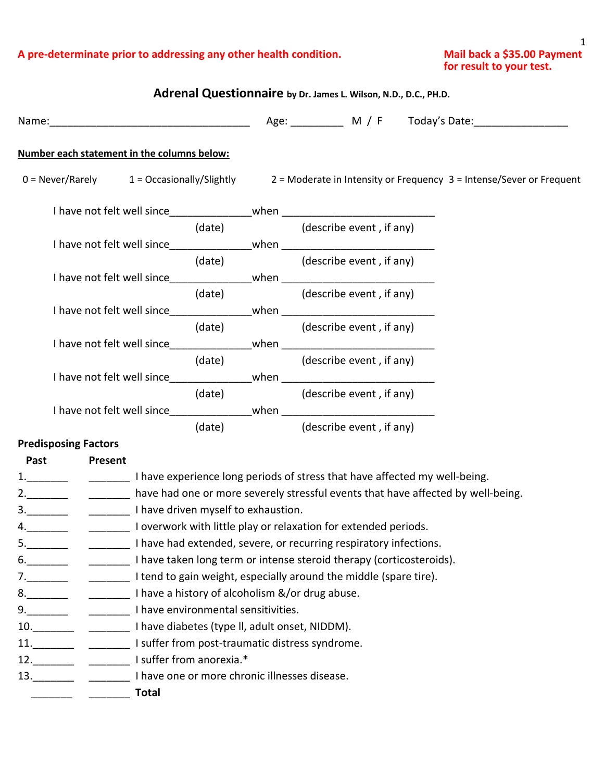#### **A pre-determinate prior to addressing any other health condition. Mail back a \$35.00 Payment**

**for result to your test.**

|                                             | Name: 1990 Mame: 1990 Manual Communication Contract Manual Communication Manual Manual Manual Manual Manual Ma |        |                                                                                  |                                                                                                                 |
|---------------------------------------------|----------------------------------------------------------------------------------------------------------------|--------|----------------------------------------------------------------------------------|-----------------------------------------------------------------------------------------------------------------|
| Number each statement in the columns below: |                                                                                                                |        |                                                                                  |                                                                                                                 |
|                                             |                                                                                                                |        |                                                                                  | 0 = Never/Rarely 1 = Occasionally/Slightly 2 = Moderate in Intensity or Frequency 3 = Intense/Sever or Frequent |
|                                             |                                                                                                                |        | I have not felt well since__________________when _______________________________ |                                                                                                                 |
|                                             |                                                                                                                |        | (date) (describe event, if any)                                                  |                                                                                                                 |
|                                             |                                                                                                                |        | I have not felt well since__________________when _______________________________ |                                                                                                                 |
|                                             |                                                                                                                |        | (date) (describe event, if any)                                                  |                                                                                                                 |
|                                             |                                                                                                                |        | I have not felt well since__________________when _______________________________ |                                                                                                                 |
|                                             |                                                                                                                | (date) | (describe event, if any)                                                         |                                                                                                                 |
|                                             |                                                                                                                |        | I have not felt well since_________________when ________________________________ |                                                                                                                 |
|                                             |                                                                                                                | (date) | (describe event, if any)                                                         |                                                                                                                 |
|                                             |                                                                                                                |        | I have not felt well since__________________when _______________________________ |                                                                                                                 |
|                                             |                                                                                                                | (date) | (describe event, if any)                                                         |                                                                                                                 |
|                                             |                                                                                                                |        | I have not felt well since__________________when _______________________________ |                                                                                                                 |
|                                             |                                                                                                                |        | (date) (describe event, if any)                                                  |                                                                                                                 |
|                                             |                                                                                                                |        | I have not felt well since_________________when ________________________________ |                                                                                                                 |
|                                             |                                                                                                                |        | (date) (describe event, if any)                                                  |                                                                                                                 |
| <b>Predisposing Factors</b>                 |                                                                                                                |        |                                                                                  |                                                                                                                 |
| <b>Past</b><br>Present                      |                                                                                                                |        |                                                                                  |                                                                                                                 |

- 1.\_\_\_\_\_\_\_\_ \_\_\_\_\_\_\_\_\_\_\_\_\_\_\_ I have experience long periods of stress that have affected my well-being. 2.\_\_\_\_\_\_\_ \_\_\_\_\_\_\_\_\_\_ have had one or more severely stressful events that have affected by well-being.
- 3.\_\_\_\_\_\_\_ \_\_\_\_\_\_\_ I have driven myself to exhaustion.
- 4.\_\_\_\_\_\_\_\_ \_\_\_\_\_\_\_\_\_\_\_\_\_\_\_ I overwork with little play or relaxation for extended periods.
- 5.\_\_\_\_\_\_\_\_ \_\_\_\_\_\_\_\_\_\_\_\_\_\_\_\_\_ I have had extended, severe, or recurring respiratory infections.
- 6. \_\_\_\_\_\_\_\_ \_\_\_\_\_\_\_\_\_\_\_\_\_\_\_\_ I have taken long term or intense steroid therapy (corticosteroids).
- 7.\_\_\_\_\_\_\_\_ \_\_\_\_\_\_\_\_\_\_\_\_\_\_ I tend to gain weight, especially around the middle (spare tire).
- 8. \_\_\_\_\_\_\_\_ \_\_\_\_\_\_\_\_\_\_\_\_\_\_\_\_\_\_ I have a history of alcoholism &/or drug abuse.
- 9. \_\_\_\_\_\_\_\_\_\_\_\_\_\_\_\_\_\_\_\_\_\_\_\_\_\_ I have environmental sensitivities.
- 10.\_\_\_\_\_\_\_ \_\_\_\_\_\_\_ I have diabetes (type ll, adult onset, NIDDM).
- 11.\_\_\_\_\_\_\_\_ \_\_\_\_\_\_\_\_\_\_\_\_ I suffer from post-traumatic distress syndrome.
- 12.\_\_\_\_\_\_\_\_ \_\_\_\_\_\_\_\_\_\_\_\_\_\_\_ I suffer from anorexia.\*
- 13.\_\_\_\_\_\_\_ \_\_\_\_\_\_\_ I have one or more chronic illnesses disease.
	- \_\_\_\_\_\_\_ \_\_\_\_\_\_\_ **Total**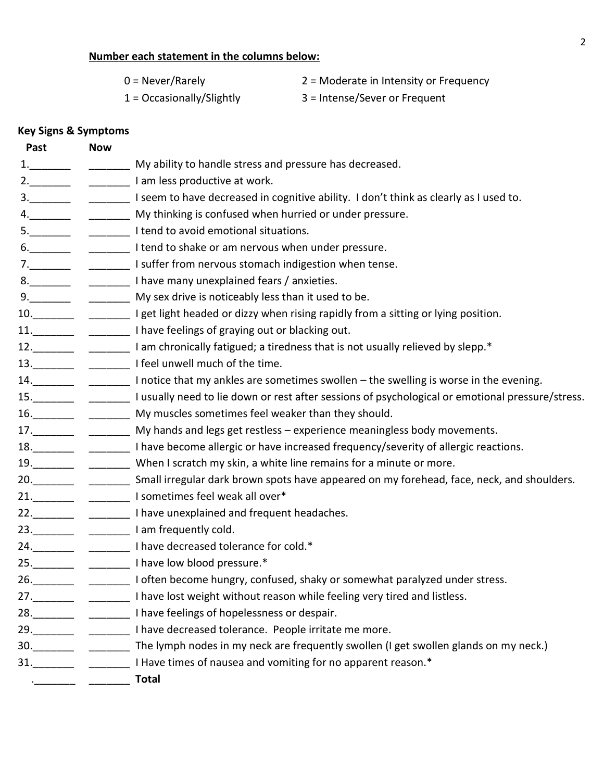#### **Number each statement in the columns below:**

- 
- 
- 0 = Never/Rarely 2 = Moderate in Intensity or Frequency
- 1 = Occasionally/Slightly 3 = Intense/Sever or Frequent

# **Key Signs & Symptoms Past Now** 1.\_\_\_\_\_\_\_\_\_ \_\_\_\_\_\_\_\_\_\_\_\_ My ability to handle stress and pressure has decreased. 2.\_\_\_\_\_\_\_ \_\_\_\_\_\_\_ I am less productive at work. 3.\_\_\_\_\_\_\_\_ \_\_\_\_\_\_\_\_\_\_\_\_ I seem to have decreased in cognitive ability. I don't think as clearly as I used to. 4.\_\_\_\_\_\_\_\_ \_\_\_\_\_\_\_\_\_\_\_\_ My thinking is confused when hurried or under pressure. 5.\_\_\_\_\_\_\_ \_\_\_\_\_\_\_ I tend to avoid emotional situations. 6.\_\_\_\_\_\_\_\_\_ \_\_\_\_\_\_\_\_\_\_\_\_\_ I tend to shake or am nervous when under pressure. 7.\_\_\_\_\_\_\_\_ \_\_\_\_\_\_\_\_\_\_\_\_\_ I suffer from nervous stomach indigestion when tense. 8.\_\_\_\_\_\_\_ \_\_\_\_\_\_\_ I have many unexplained fears / anxieties. 9. \_\_\_\_\_\_\_\_ \_\_\_\_\_\_\_\_\_\_\_\_ My sex drive is noticeably less than it used to be. 10. \_\_\_\_\_\_\_ \_\_\_\_\_\_\_\_\_\_\_\_ I get light headed or dizzy when rising rapidly from a sitting or lying position. 11.\_\_\_\_\_\_\_\_ \_\_\_\_\_\_\_\_\_\_\_\_ I have feelings of graying out or blacking out. 12.\_\_\_\_\_\_\_ \_\_\_\_\_\_\_\_\_\_\_ I am chronically fatigued; a tiredness that is not usually relieved by slepp.\* 13.\_\_\_\_\_\_\_ \_\_\_\_\_\_\_ I feel unwell much of the time. 14.\_\_\_\_\_\_\_ \_\_\_\_\_\_\_\_\_\_\_ I notice that my ankles are sometimes swollen – the swelling is worse in the evening. 15.\_\_\_\_\_\_\_ \_\_\_\_\_\_\_\_\_\_\_\_ I usually need to lie down or rest after sessions of psychological or emotional pressure/stress. 16.\_\_\_\_\_\_\_\_\_ \_\_\_\_\_\_\_\_\_\_ My muscles sometimes feel weaker than they should. 17.\_\_\_\_\_\_\_ \_\_\_\_\_\_\_\_\_ My hands and legs get restless – experience meaningless body movements. 18.\_\_\_\_\_\_\_ \_\_\_\_\_\_\_\_\_\_\_\_\_ I have become allergic or have increased frequency/severity of allergic reactions. 19. \_\_\_\_\_\_\_\_ \_\_\_\_\_\_\_\_\_\_ When I scratch my skin, a white line remains for a minute or more. 20.\_\_\_\_\_\_\_ \_\_\_\_\_\_\_\_ Small irregular dark brown spots have appeared on my forehead, face, neck, and shoulders. 21.\_\_\_\_\_\_\_\_\_ \_\_\_\_\_\_\_\_\_\_\_\_ I sometimes feel weak all over\* 22.\_\_\_\_\_\_\_\_\_\_\_\_\_\_\_\_\_\_\_\_\_\_\_\_\_\_ I have unexplained and frequent headaches. 23.\_\_\_\_\_\_\_ \_\_\_\_\_\_\_ I am frequently cold. 24.\_\_\_\_\_\_\_\_ \_\_\_\_\_\_\_\_\_\_\_ I have decreased tolerance for cold.\* 25.\_\_\_\_\_\_\_\_ \_\_\_\_\_\_\_\_\_\_\_\_ I have low blood pressure.\* 26.\_\_\_\_\_\_\_ \_\_\_\_\_\_\_\_\_\_\_\_ I often become hungry, confused, shaky or somewhat paralyzed under stress. 27.\_\_\_\_\_\_\_\_ \_\_\_\_\_\_\_\_\_\_\_\_ I have lost weight without reason while feeling very tired and listless. 28.\_\_\_\_\_\_\_\_\_ \_\_\_\_\_\_\_\_\_\_\_\_ I have feelings of hopelessness or despair. 29.\_\_\_\_\_\_\_\_ \_\_\_\_\_\_\_\_\_\_\_\_ I have decreased tolerance. People irritate me more. 30.\_\_\_\_\_\_\_ \_\_\_\_\_\_\_\_\_\_\_ The lymph nodes in my neck are frequently swollen (I get swollen glands on my neck.) 31.\_\_\_\_\_\_\_\_ \_\_\_\_\_\_\_\_\_\_\_\_ I Have times of nausea and vomiting for no apparent reason.\* .\_\_\_\_\_\_\_ \_\_\_\_\_\_\_ **Total**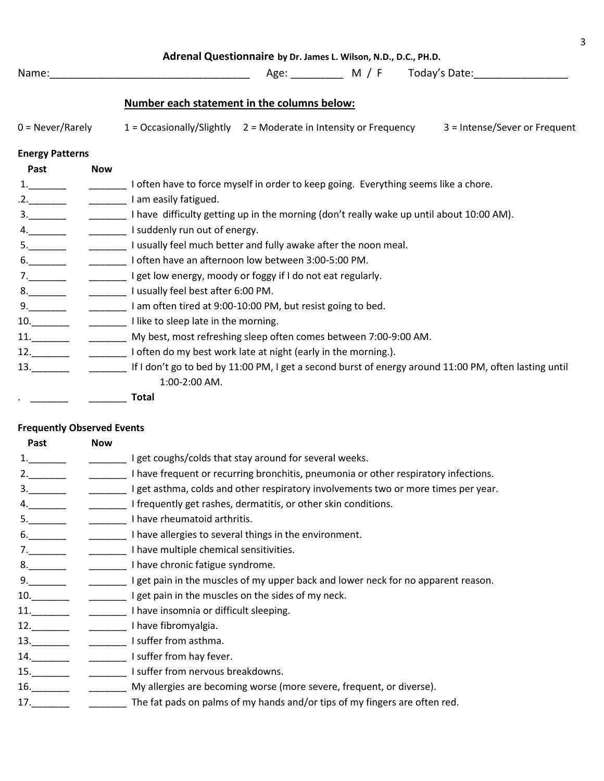| Name:                  |            | Age: M / F Today's Date:                                                                                               |  |  |  |
|------------------------|------------|------------------------------------------------------------------------------------------------------------------------|--|--|--|
|                        |            | Number each statement in the columns below:                                                                            |  |  |  |
| $0 = Never/Rarely$     |            | $1 =$ Occasionally/Slightly $2 =$ Moderate in Intensity or Frequency<br>3 = Intense/Sever or Frequent                  |  |  |  |
| <b>Energy Patterns</b> |            |                                                                                                                        |  |  |  |
| Past                   | <b>Now</b> |                                                                                                                        |  |  |  |
| 1.                     |            | I often have to force myself in order to keep going. Everything seems like a chore.                                    |  |  |  |
| .2. ________           |            | I am easily fatigued.                                                                                                  |  |  |  |
|                        |            | I have difficulty getting up in the morning (don't really wake up until about 10:00 AM).                               |  |  |  |
|                        |            | I suddenly run out of energy.                                                                                          |  |  |  |
|                        |            | I usually feel much better and fully awake after the noon meal.                                                        |  |  |  |
|                        |            | I often have an afternoon low between 3:00-5:00 PM.                                                                    |  |  |  |
|                        |            | ________ I get low energy, moody or foggy if I do not eat regularly.                                                   |  |  |  |
| 8.                     |            | I usually feel best after 6:00 PM.                                                                                     |  |  |  |
| 9.                     |            | I am often tired at 9:00-10:00 PM, but resist going to bed.                                                            |  |  |  |
| 10.                    |            | __________ I like to sleep late in the morning.                                                                        |  |  |  |
|                        |            | ________ My best, most refreshing sleep often comes between 7:00-9:00 AM.                                              |  |  |  |
|                        |            | 12. I often do my best work late at night (early in the morning.).                                                     |  |  |  |
| 13.                    |            | If I don't go to bed by 11:00 PM, I get a second burst of energy around 11:00 PM, often lasting until<br>1:00-2:00 AM. |  |  |  |
|                        |            | <b>Total</b>                                                                                                           |  |  |  |

## **Frequently Observed Events**

| Past | <b>Now</b> |                                                                                     |
|------|------------|-------------------------------------------------------------------------------------|
|      |            | I get coughs/colds that stay around for several weeks.                              |
|      |            | I have frequent or recurring bronchitis, pneumonia or other respiratory infections. |
|      |            | I get asthma, colds and other respiratory involvements two or more times per year.  |
|      |            | I frequently get rashes, dermatitis, or other skin conditions.                      |
|      |            | I have rheumatoid arthritis.                                                        |
|      |            | I have allergies to several things in the environment.                              |
|      |            | I have multiple chemical sensitivities.                                             |
|      |            | I have chronic fatigue syndrome.                                                    |
| 9.   |            | I get pain in the muscles of my upper back and lower neck for no apparent reason.   |
| 10.  |            | I get pain in the muscles on the sides of my neck.                                  |
| 11.  |            | I have insomnia or difficult sleeping.                                              |
|      |            | I have fibromyalgia.                                                                |
|      |            | I suffer from asthma.                                                               |
|      |            | I suffer from hay fever.                                                            |
| 15.  |            | I suffer from nervous breakdowns.                                                   |
| 16.  |            | My allergies are becoming worse (more severe, frequent, or diverse).                |
| 17.  |            | The fat pads on palms of my hands and/or tips of my fingers are often red.          |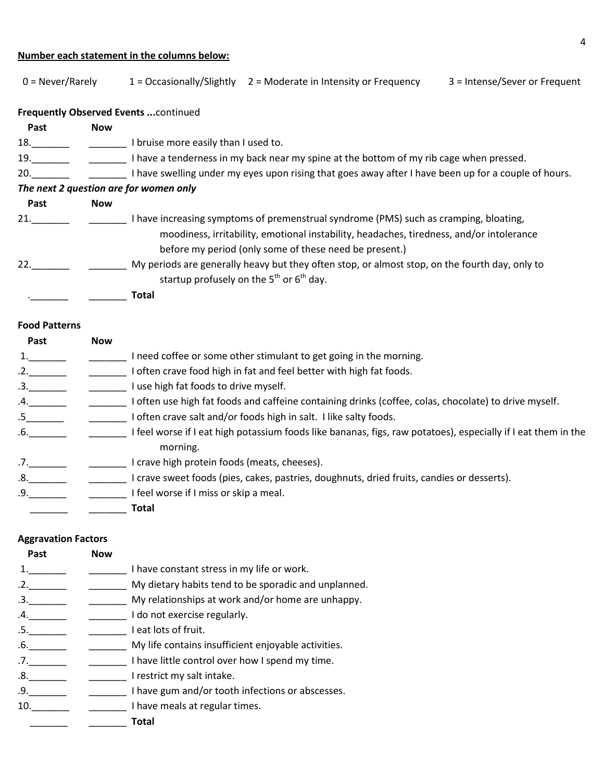## **Number each statement in the columns below:**

| $0 = Never/Rarely$                                                                      |            | $1 = Occasionally/Slightly$                                                                          | 2 = Moderate in Intensity or Frequency                                                                                                               | 3 = Intense/Sever or Frequent |  |  |
|-----------------------------------------------------------------------------------------|------------|------------------------------------------------------------------------------------------------------|------------------------------------------------------------------------------------------------------------------------------------------------------|-------------------------------|--|--|
|                                                                                         |            | <b>Frequently Observed Events </b> continued                                                         |                                                                                                                                                      |                               |  |  |
| Past                                                                                    | <b>Now</b> |                                                                                                      |                                                                                                                                                      |                               |  |  |
| 18.                                                                                     |            | I bruise more easily than I used to.                                                                 |                                                                                                                                                      |                               |  |  |
| I have a tenderness in my back near my spine at the bottom of my rib cage when pressed. |            |                                                                                                      |                                                                                                                                                      |                               |  |  |
| 20.                                                                                     |            | I have swelling under my eyes upon rising that goes away after I have been up for a couple of hours. |                                                                                                                                                      |                               |  |  |
|                                                                                         |            | The next 2 question are for women only                                                               |                                                                                                                                                      |                               |  |  |
| Past                                                                                    | <b>Now</b> |                                                                                                      |                                                                                                                                                      |                               |  |  |
| 21.                                                                                     |            |                                                                                                      | I have increasing symptoms of premenstrual syndrome (PMS) such as cramping, bloating,                                                                |                               |  |  |
|                                                                                         |            |                                                                                                      | moodiness, irritability, emotional instability, headaches, tiredness, and/or intolerance                                                             |                               |  |  |
|                                                                                         |            |                                                                                                      | before my period (only some of these need be present.)                                                                                               |                               |  |  |
| 22.                                                                                     |            |                                                                                                      | My periods are generally heavy but they often stop, or almost stop, on the fourth day, only to<br>startup profusely on the $5^{th}$ or $6^{th}$ day. |                               |  |  |

.\_\_\_\_\_\_\_ \_\_\_\_\_\_\_ **Total**

### **Food Patterns**

| Past | <b>Now</b>                                                                                                                |
|------|---------------------------------------------------------------------------------------------------------------------------|
|      | I need coffee or some other stimulant to get going in the morning.                                                        |
| .2.  | I often crave food high in fat and feel better with high fat foods.                                                       |
| .3.  | use high fat foods to drive myself.                                                                                       |
| .4.  | I often use high fat foods and caffeine containing drinks (coffee, colas, chocolate) to drive myself.                     |
| .5   | I often crave salt and/or foods high in salt. I like salty foods.                                                         |
| .6.  | I feel worse if I eat high potassium foods like bananas, figs, raw potatoes), especially if I eat them in the<br>morning. |
| .7.  | crave high protein foods (meats, cheeses).                                                                                |
| .8.  | I crave sweet foods (pies, cakes, pastries, doughnuts, dried fruits, candies or desserts).                                |
| .9.  | I feel worse if I miss or skip a meal.                                                                                    |
|      | <b>Total</b>                                                                                                              |

#### **Aggravation Factors**

| Past       | <b>Now</b> |                                                      |
|------------|------------|------------------------------------------------------|
|            |            | I have constant stress in my life or work.           |
| $\cdot$ 2. |            | My dietary habits tend to be sporadic and unplanned. |
|            |            | My relationships at work and/or home are unhappy.    |
|            |            | I do not exercise regularly.                         |
| .5.        |            | I eat lots of fruit.                                 |
| .6.        |            | My life contains insufficient enjoyable activities.  |
| .7.        |            | I have little control over how I spend my time.      |
| .8.        |            | I restrict my salt intake.                           |
| .9.        |            | I have gum and/or tooth infections or abscesses.     |
| 10.        |            | I have meals at regular times.                       |
|            |            | Total                                                |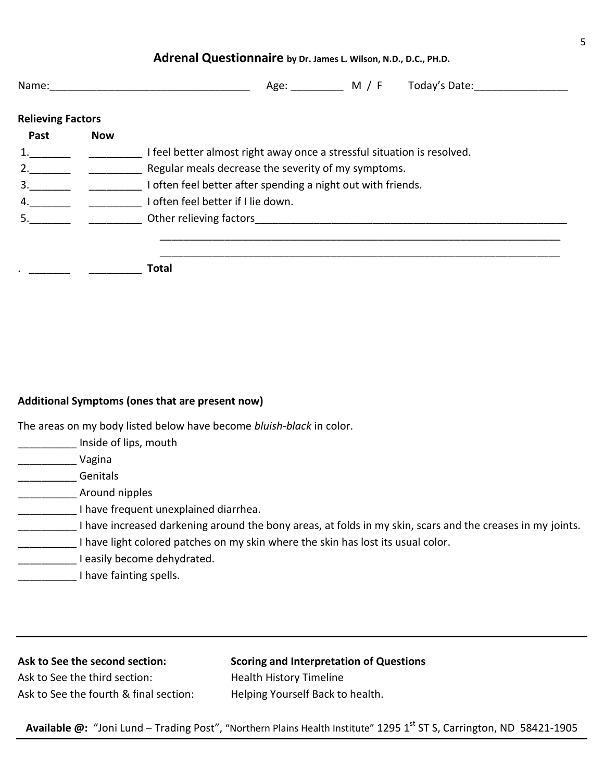| Name:                    |            | Today's Date:                                                                                                  |
|--------------------------|------------|----------------------------------------------------------------------------------------------------------------|
| <b>Relieving Factors</b> |            |                                                                                                                |
| Past                     | <b>Now</b> |                                                                                                                |
|                          |            | I feel better almost right away once a stressful situation is resolved.                                        |
|                          |            | Regular meals decrease the severity of my symptoms.                                                            |
| 3.                       |            | I often feel better after spending a night out with friends.                                                   |
|                          |            | I often feel better if I lie down.                                                                             |
|                          |            | Other relieving factors of the state of the state of the state of the state of the state of the state of the s |
|                          |            |                                                                                                                |
|                          |            |                                                                                                                |
|                          |            | <b>Total</b>                                                                                                   |

**Adrenal Questionnaire by Dr. James L. Wilson, N.D., D.C., PH.D.**

## **Additional Symptoms (ones that are present now)**

The areas on my body listed below have become *bluish-black* in color.

| Inside of lips, mouth                                                                                      |
|------------------------------------------------------------------------------------------------------------|
| Vagina                                                                                                     |
| Genitals                                                                                                   |
| Around nipples                                                                                             |
| I have frequent unexplained diarrhea.                                                                      |
| I have increased darkening around the bony areas, at folds in my skin, scars and the creases in my joints. |
| I have light colored patches on my skin where the skin has lost its usual color.                           |
| easily become dehydrated.                                                                                  |
| have fainting spells.                                                                                      |
|                                                                                                            |

| Ask to See the second section: |  |
|--------------------------------|--|
| Ask to See the third section:  |  |

**Ask to See the second section: Scoring and Interpretation of Questions** Health History Timeline Ask to See the fourth & final section: Helping Yourself Back to health.

Available @: "Joni Lund – Trading Post", "Northern Plains Health Institute" 1295 1<sup>st</sup> ST S, Carrington, ND 58421-1905